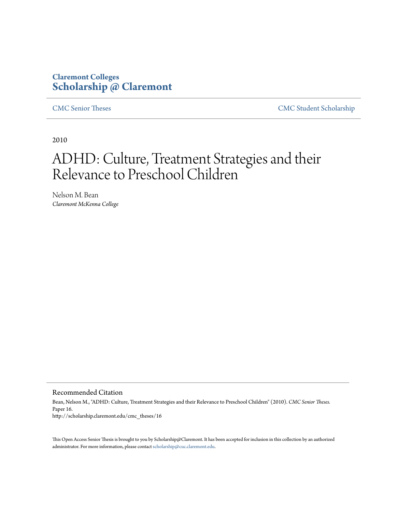## **Claremont Colleges [Scholarship @ Claremont](http://scholarship.claremont.edu)**

[CMC Senior Theses](http://scholarship.claremont.edu/cmc_theses) [CMC Student Scholarship](http://scholarship.claremont.edu/cmc_student)

2010

# ADHD: Culture, Treatment Strategies and their Relevance to Preschool Children

Nelson M. Bean *Claremont McKenna College*

Recommended Citation

Bean, Nelson M., "ADHD: Culture, Treatment Strategies and their Relevance to Preschool Children" (2010). *CMC Senior Theses.* Paper 16. http://scholarship.claremont.edu/cmc\_theses/16

This Open Access Senior Thesis is brought to you by Scholarship@Claremont. It has been accepted for inclusion in this collection by an authorized administrator. For more information, please contact [scholarship@cuc.claremont.edu.](mailto:scholarship@cuc.claremont.edu)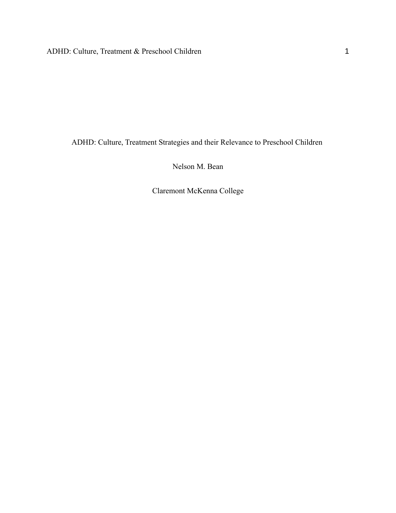ADHD: Culture, Treatment Strategies and their Relevance to Preschool Children

Nelson M. Bean

Claremont McKenna College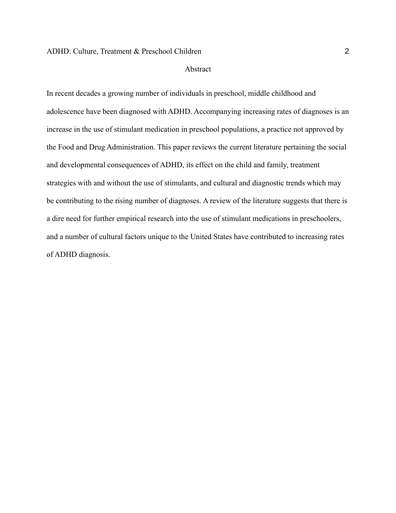#### Abstract

In recent decades a growing number of individuals in preschool, middle childhood and adolescence have been diagnosed with ADHD. Accompanying increasing rates of diagnoses is an increase in the use of stimulant medication in preschool populations, a practice not approved by the Food and Drug Administration. This paper reviews the current literature pertaining the social and developmental consequences of ADHD, its effect on the child and family, treatment strategies with and without the use of stimulants, and cultural and diagnostic trends which may be contributing to the rising number of diagnoses. A review of the literature suggests that there is a dire need for further empirical research into the use of stimulant medications in preschoolers, and a number of cultural factors unique to the United States have contributed to increasing rates of ADHD diagnosis.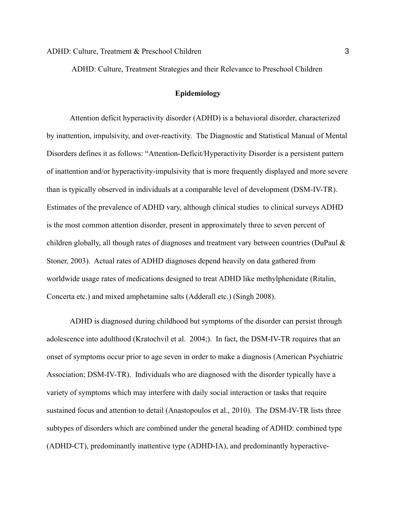ADHD: Culture, Treatment Strategies and their Relevance to Preschool Children

## **Epidemiology**

Attention deficit hyperactivity disorder (ADHD) is a behavioral disorder, characterized by inattention, impulsivity, and over-reactivity. The Diagnostic and Statistical Manual of Mental Disorders defines it as follows: "Attention-Deficit/Hyperactivity Disorder is a persistent pattern of inattention and/or hyperactivity-impulsivity that is more frequently displayed and more severe than is typically observed in individuals at a comparable level of development (DSM-IV-TR). Estimates of the prevalence of ADHD vary, although clinical studies to clinical surveys ADHD is the most common attention disorder, present in approximately three to seven percent of children globally, all though rates of diagnoses and treatment vary between countries (DuPaul & Stoner, 2003). Actual rates of ADHD diagnoses depend heavily on data gathered from worldwide usage rates of medications designed to treat ADHD like methylphenidate (Ritalin, Concerta etc.) and mixed amphetamine salts (Adderall etc.) (Singh 2008).

ADHD is diagnosed during childhood but symptoms of the disorder can persist through adolescence into adulthood (Kratochvil et al. 2004;). In fact, the DSM-IV-TR requires that an onset of symptoms occur prior to age seven in order to make a diagnosis (American Psychiatric Association; DSM-IV-TR). Individuals who are diagnosed with the disorder typically have a variety of symptoms which may interfere with daily social interaction or tasks that require sustained focus and attention to detail (Anastopoulos et al., 2010). The DSM-IV-TR lists three subtypes of disorders which are combined under the general heading of ADHD: combined type (ADHD-CT), predominantly inattentive type (ADHD-IA), and predominantly hyperactive-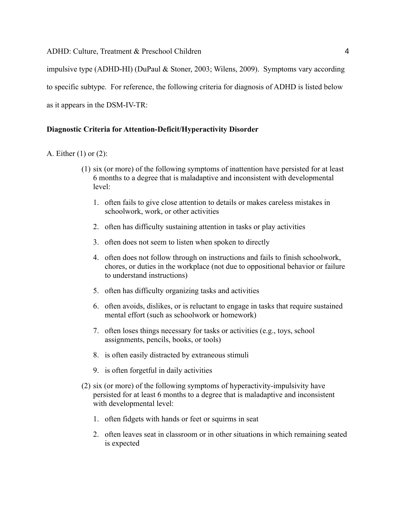impulsive type (ADHD-HI) (DuPaul & Stoner, 2003; Wilens, 2009). Symptoms vary according to specific subtype. For reference, the following criteria for diagnosis of ADHD is listed below as it appears in the DSM-IV-TR:

## **Diagnostic Criteria for Attention-Deficit/Hyperactivity Disorder**

- A. Either (1) or (2):
	- (1) six (or more) of the following symptoms of inattention have persisted for at least 6 months to a degree that is maladaptive and inconsistent with developmental level:
		- 1. often fails to give close attention to details or makes careless mistakes in schoolwork, work, or other activities
		- 2. often has difficulty sustaining attention in tasks or play activities
		- 3. often does not seem to listen when spoken to directly
		- 4. often does not follow through on instructions and fails to finish schoolwork, chores, or duties in the workplace (not due to oppositional behavior or failure to understand instructions)
		- 5. often has difficulty organizing tasks and activities
		- 6. often avoids, dislikes, or is reluctant to engage in tasks that require sustained mental effort (such as schoolwork or homework)
		- 7. often loses things necessary for tasks or activities (e.g., toys, school assignments, pencils, books, or tools)
		- 8. is often easily distracted by extraneous stimuli
		- 9. is often forgetful in daily activities
	- (2) six (or more) of the following symptoms of hyperactivity-impulsivity have persisted for at least 6 months to a degree that is maladaptive and inconsistent with developmental level:
		- 1. often fidgets with hands or feet or squirms in seat
		- 2. often leaves seat in classroom or in other situations in which remaining seated is expected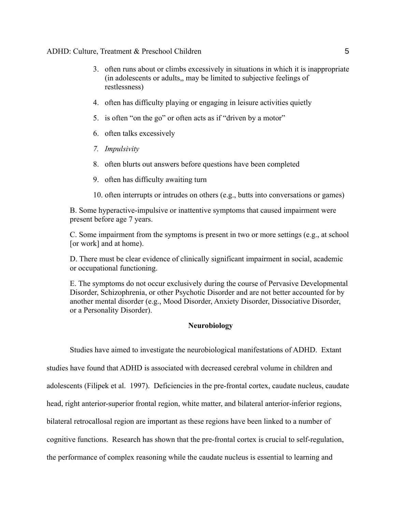- 3. often runs about or climbs excessively in situations in which it is inappropriate (in adolescents or adults,, may be limited to subjective feelings of restlessness)
- 4. often has difficulty playing or engaging in leisure activities quietly
- 5. is often "on the go" or often acts as if "driven by a motor"
- 6. often talks excessively
- *7. Impulsivity*
- 8. often blurts out answers before questions have been completed
- 9. often has difficulty awaiting turn
- 10. often interrupts or intrudes on others (e.g., butts into conversations or games)

B. Some hyperactive-impulsive or inattentive symptoms that caused impairment were present before age 7 years.

C. Some impairment from the symptoms is present in two or more settings (e.g., at school [or work] and at home).

D. There must be clear evidence of clinically significant impairment in social, academic or occupational functioning.

E. The symptoms do not occur exclusively during the course of Pervasive Developmental Disorder, Schizophrenia, or other Psychotic Disorder and are not better accounted for by another mental disorder (e.g., Mood Disorder, Anxiety Disorder, Dissociative Disorder, or a Personality Disorder).

## **Neurobiology**

Studies have aimed to investigate the neurobiological manifestations of ADHD. Extant

studies have found that ADHD is associated with decreased cerebral volume in children and

adolescents (Filipek et al. 1997). Deficiencies in the pre-frontal cortex, caudate nucleus, caudate

head, right anterior-superior frontal region, white matter, and bilateral anterior-inferior regions,

bilateral retrocallosal region are important as these regions have been linked to a number of

cognitive functions. Research has shown that the pre-frontal cortex is crucial to self-regulation,

the performance of complex reasoning while the caudate nucleus is essential to learning and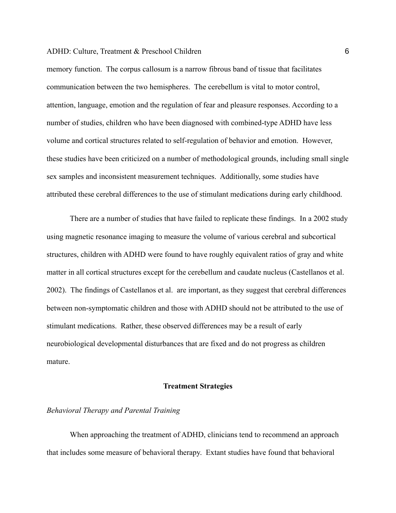memory function. The corpus callosum is a narrow fibrous band of tissue that facilitates communication between the two hemispheres. The cerebellum is vital to motor control, attention, language, emotion and the regulation of fear and pleasure responses. According to a number of studies, children who have been diagnosed with combined-type ADHD have less volume and cortical structures related to self-regulation of behavior and emotion. However, these studies have been criticized on a number of methodological grounds, including small single sex samples and inconsistent measurement techniques. Additionally, some studies have attributed these cerebral differences to the use of stimulant medications during early childhood.

There are a number of studies that have failed to replicate these findings. In a 2002 study using magnetic resonance imaging to measure the volume of various cerebral and subcortical structures, children with ADHD were found to have roughly equivalent ratios of gray and white matter in all cortical structures except for the cerebellum and caudate nucleus (Castellanos et al. 2002). The findings of Castellanos et al. are important, as they suggest that cerebral differences between non-symptomatic children and those with ADHD should not be attributed to the use of stimulant medications. Rather, these observed differences may be a result of early neurobiological developmental disturbances that are fixed and do not progress as children mature.

### **Treatment Strategies**

#### *Behavioral Therapy and Parental Training*

When approaching the treatment of ADHD, clinicians tend to recommend an approach that includes some measure of behavioral therapy. Extant studies have found that behavioral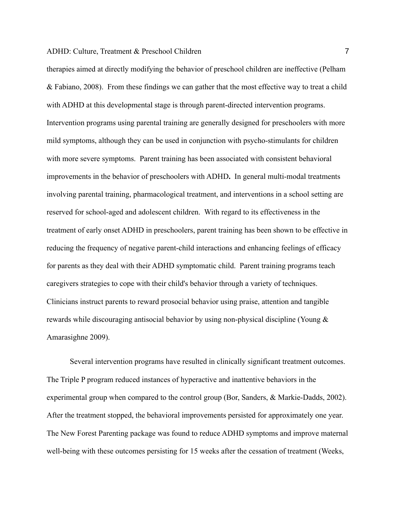therapies aimed at directly modifying the behavior of preschool children are ineffective (Pelham & Fabiano, 2008). From these findings we can gather that the most effective way to treat a child with ADHD at this developmental stage is through parent-directed intervention programs. Intervention programs using parental training are generally designed for preschoolers with more mild symptoms, although they can be used in conjunction with psycho-stimulants for children with more severe symptoms. Parent training has been associated with consistent behavioral improvements in the behavior of preschoolers with ADHD**.** In general multi-modal treatments involving parental training, pharmacological treatment, and interventions in a school setting are reserved for school-aged and adolescent children. With regard to its effectiveness in the treatment of early onset ADHD in preschoolers, parent training has been shown to be effective in reducing the frequency of negative parent-child interactions and enhancing feelings of efficacy for parents as they deal with their ADHD symptomatic child. Parent training programs teach caregivers strategies to cope with their child's behavior through a variety of techniques. Clinicians instruct parents to reward prosocial behavior using praise, attention and tangible rewards while discouraging antisocial behavior by using non-physical discipline (Young & Amarasighne 2009).

Several intervention programs have resulted in clinically significant treatment outcomes. The Triple P program reduced instances of hyperactive and inattentive behaviors in the experimental group when compared to the control group (Bor, Sanders, & Markie-Dadds, 2002). After the treatment stopped, the behavioral improvements persisted for approximately one year. The New Forest Parenting package was found to reduce ADHD symptoms and improve maternal well-being with these outcomes persisting for 15 weeks after the cessation of treatment (Weeks,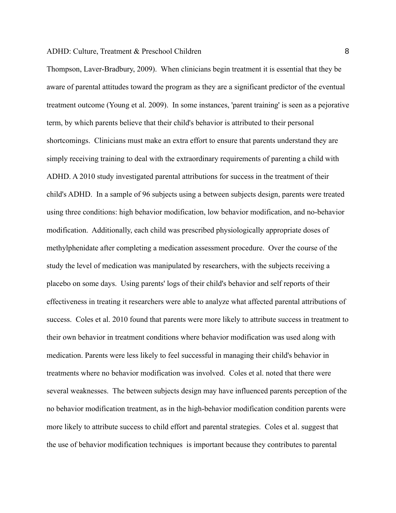Thompson, Laver-Bradbury, 2009). When clinicians begin treatment it is essential that they be aware of parental attitudes toward the program as they are a significant predictor of the eventual treatment outcome (Young et al. 2009). In some instances, 'parent training' is seen as a pejorative term, by which parents believe that their child's behavior is attributed to their personal shortcomings. Clinicians must make an extra effort to ensure that parents understand they are simply receiving training to deal with the extraordinary requirements of parenting a child with ADHD. A 2010 study investigated parental attributions for success in the treatment of their child's ADHD. In a sample of 96 subjects using a between subjects design, parents were treated using three conditions: high behavior modification, low behavior modification, and no-behavior modification. Additionally, each child was prescribed physiologically appropriate doses of methylphenidate after completing a medication assessment procedure. Over the course of the study the level of medication was manipulated by researchers, with the subjects receiving a placebo on some days. Using parents' logs of their child's behavior and self reports of their effectiveness in treating it researchers were able to analyze what affected parental attributions of success. Coles et al. 2010 found that parents were more likely to attribute success in treatment to their own behavior in treatment conditions where behavior modification was used along with medication. Parents were less likely to feel successful in managing their child's behavior in treatments where no behavior modification was involved. Coles et al. noted that there were several weaknesses. The between subjects design may have influenced parents perception of the no behavior modification treatment, as in the high-behavior modification condition parents were more likely to attribute success to child effort and parental strategies. Coles et al. suggest that the use of behavior modification techniques is important because they contributes to parental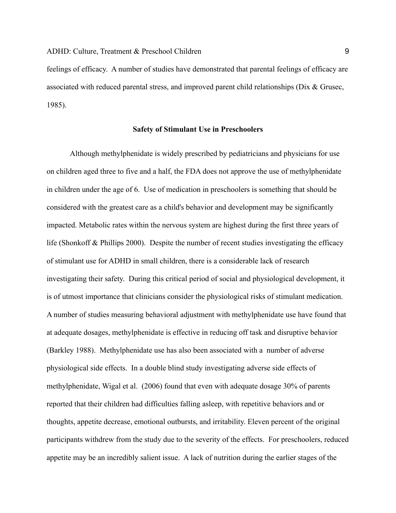feelings of efficacy. A number of studies have demonstrated that parental feelings of efficacy are associated with reduced parental stress, and improved parent child relationships (Dix & Grusec, 1985).

#### **Safety of Stimulant Use in Preschoolers**

Although methylphenidate is widely prescribed by pediatricians and physicians for use on children aged three to five and a half, the FDA does not approve the use of methylphenidate in children under the age of 6. Use of medication in preschoolers is something that should be considered with the greatest care as a child's behavior and development may be significantly impacted. Metabolic rates within the nervous system are highest during the first three years of life (Shonkoff & Phillips 2000). Despite the number of recent studies investigating the efficacy of stimulant use for ADHD in small children, there is a considerable lack of research investigating their safety. During this critical period of social and physiological development, it is of utmost importance that clinicians consider the physiological risks of stimulant medication. A number of studies measuring behavioral adjustment with methylphenidate use have found that at adequate dosages, methylphenidate is effective in reducing off task and disruptive behavior (Barkley 1988). Methylphenidate use has also been associated with a number of adverse physiological side effects. In a double blind study investigating adverse side effects of methylphenidate, Wigal et al. (2006) found that even with adequate dosage 30% of parents reported that their children had difficulties falling asleep, with repetitive behaviors and or thoughts, appetite decrease, emotional outbursts, and irritability. Eleven percent of the original participants withdrew from the study due to the severity of the effects. For preschoolers, reduced appetite may be an incredibly salient issue. A lack of nutrition during the earlier stages of the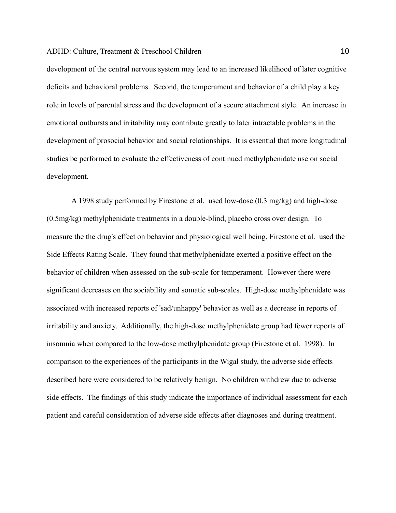development of the central nervous system may lead to an increased likelihood of later cognitive deficits and behavioral problems. Second, the temperament and behavior of a child play a key role in levels of parental stress and the development of a secure attachment style. An increase in emotional outbursts and irritability may contribute greatly to later intractable problems in the development of prosocial behavior and social relationships. It is essential that more longitudinal studies be performed to evaluate the effectiveness of continued methylphenidate use on social development.

 A 1998 study performed by Firestone et al. used low-dose (0.3 mg/kg) and high-dose (0.5mg/kg) methylphenidate treatments in a double-blind, placebo cross over design. To measure the the drug's effect on behavior and physiological well being, Firestone et al. used the Side Effects Rating Scale. They found that methylphenidate exerted a positive effect on the behavior of children when assessed on the sub-scale for temperament. However there were significant decreases on the sociability and somatic sub-scales. High-dose methylphenidate was associated with increased reports of 'sad/unhappy' behavior as well as a decrease in reports of irritability and anxiety. Additionally, the high-dose methylphenidate group had fewer reports of insomnia when compared to the low-dose methylphenidate group (Firestone et al. 1998). In comparison to the experiences of the participants in the Wigal study, the adverse side effects described here were considered to be relatively benign. No children withdrew due to adverse side effects. The findings of this study indicate the importance of individual assessment for each patient and careful consideration of adverse side effects after diagnoses and during treatment.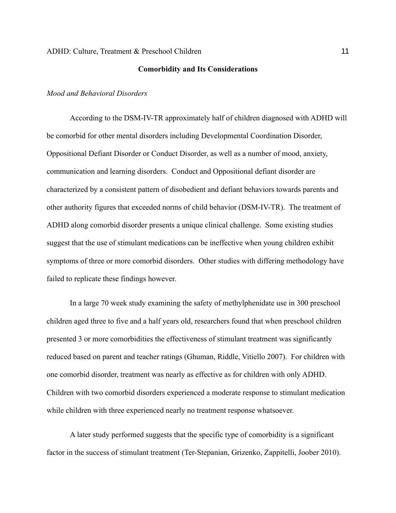#### **Comorbidity and Its Considerations**

### *Mood and Behavioral Disorders*

According to the DSM-IV-TR approximately half of children diagnosed with ADHD will be comorbid for other mental disorders including Developmental Coordination Disorder, Oppositional Defiant Disorder or Conduct Disorder, as well as a number of mood, anxiety, communication and learning disorders. Conduct and Oppositional defiant disorder are characterized by a consistent pattern of disobedient and defiant behaviors towards parents and other authority figures that exceeded norms of child behavior (DSM-IV-TR). The treatment of ADHD along comorbid disorder presents a unique clinical challenge. Some existing studies suggest that the use of stimulant medications can be ineffective when young children exhibit symptoms of three or more comorbid disorders. Other studies with differing methodology have failed to replicate these findings however.

In a large 70 week study examining the safety of methylphenidate use in 300 preschool children aged three to five and a half years old, researchers found that when preschool children presented 3 or more comorbidities the effectiveness of stimulant treatment was significantly reduced based on parent and teacher ratings (Ghuman, Riddle, Vitiello 2007). For children with one comorbid disorder, treatment was nearly as effective as for children with only ADHD. Children with two comorbid disorders experienced a moderate response to stimulant medication while children with three experienced nearly no treatment response whatsoever.

A later study performed suggests that the specific type of comorbidity is a significant factor in the success of stimulant treatment (Ter-Stepanian, Grizenko, Zappitelli, Joober 2010).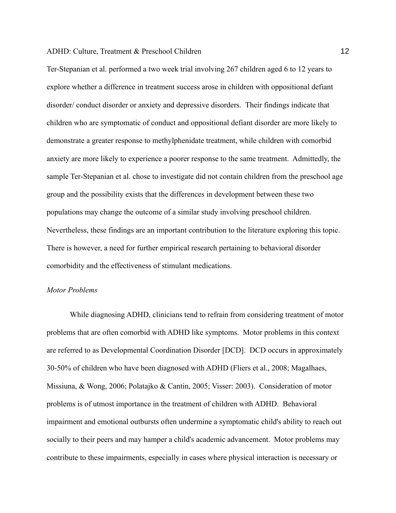Ter-Stepanian et al. performed a two week trial involving 267 children aged 6 to 12 years to explore whether a difference in treatment success arose in children with oppositional defiant disorder/ conduct disorder or anxiety and depressive disorders. Their findings indicate that children who are symptomatic of conduct and oppositional defiant disorder are more likely to demonstrate a greater response to methylphenidate treatment, while children with comorbid anxiety are more likely to experience a poorer response to the same treatment. Admittedly, the sample Ter-Stepanian et al. chose to investigate did not contain children from the preschool age group and the possibility exists that the differences in development between these two populations may change the outcome of a similar study involving preschool children. Nevertheless, these findings are an important contribution to the literature exploring this topic. There is however, a need for further empirical research pertaining to behavioral disorder comorbidity and the effectiveness of stimulant medications.

## *Motor Problems*

While diagnosing ADHD, clinicians tend to refrain from considering treatment of motor problems that are often comorbid with ADHD like symptoms. Motor problems in this context are referred to as Developmental Coordination Disorder [DCD]. DCD occurs in approximately 30-50% of children who have been diagnosed with ADHD (Fliers et al., 2008; Magalhaes, Missiuna, & Wong, 2006; Polatajko & Cantin, 2005; Visser: 2003). Consideration of motor problems is of utmost importance in the treatment of children with ADHD. Behavioral impairment and emotional outbursts often undermine a symptomatic child's ability to reach out socially to their peers and may hamper a child's academic advancement. Motor problems may contribute to these impairments, especially in cases where physical interaction is necessary or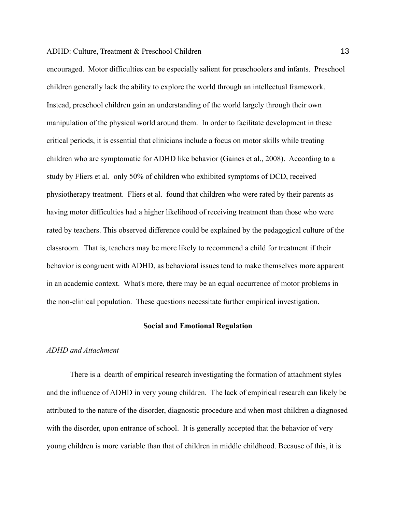encouraged. Motor difficulties can be especially salient for preschoolers and infants. Preschool children generally lack the ability to explore the world through an intellectual framework. Instead, preschool children gain an understanding of the world largely through their own manipulation of the physical world around them. In order to facilitate development in these critical periods, it is essential that clinicians include a focus on motor skills while treating children who are symptomatic for ADHD like behavior (Gaines et al., 2008). According to a study by Fliers et al. only 50% of children who exhibited symptoms of DCD, received physiotherapy treatment. Fliers et al. found that children who were rated by their parents as having motor difficulties had a higher likelihood of receiving treatment than those who were rated by teachers. This observed difference could be explained by the pedagogical culture of the classroom. That is, teachers may be more likely to recommend a child for treatment if their behavior is congruent with ADHD, as behavioral issues tend to make themselves more apparent in an academic context. What's more, there may be an equal occurrence of motor problems in the non-clinical population. These questions necessitate further empirical investigation.

#### **Social and Emotional Regulation**

#### *ADHD and Attachment*

There is a dearth of empirical research investigating the formation of attachment styles and the influence of ADHD in very young children. The lack of empirical research can likely be attributed to the nature of the disorder, diagnostic procedure and when most children a diagnosed with the disorder, upon entrance of school. It is generally accepted that the behavior of very young children is more variable than that of children in middle childhood. Because of this, it is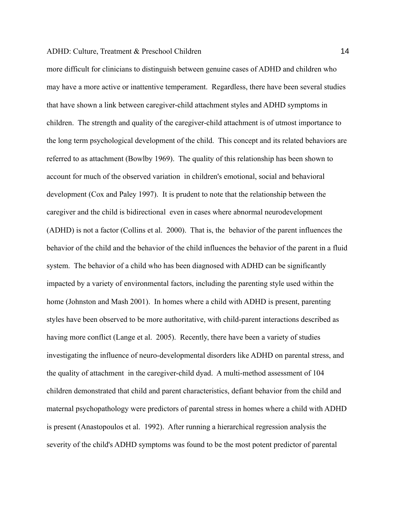more difficult for clinicians to distinguish between genuine cases of ADHD and children who may have a more active or inattentive temperament. Regardless, there have been several studies that have shown a link between caregiver-child attachment styles and ADHD symptoms in children. The strength and quality of the caregiver-child attachment is of utmost importance to the long term psychological development of the child. This concept and its related behaviors are referred to as attachment (Bowlby 1969). The quality of this relationship has been shown to account for much of the observed variation in children's emotional, social and behavioral development (Cox and Paley 1997). It is prudent to note that the relationship between the caregiver and the child is bidirectional even in cases where abnormal neurodevelopment (ADHD) is not a factor (Collins et al. 2000). That is, the behavior of the parent influences the behavior of the child and the behavior of the child influences the behavior of the parent in a fluid system. The behavior of a child who has been diagnosed with ADHD can be significantly impacted by a variety of environmental factors, including the parenting style used within the home (Johnston and Mash 2001). In homes where a child with ADHD is present, parenting styles have been observed to be more authoritative, with child-parent interactions described as having more conflict (Lange et al. 2005). Recently, there have been a variety of studies investigating the influence of neuro-developmental disorders like ADHD on parental stress, and the quality of attachment in the caregiver-child dyad. A multi-method assessment of 104 children demonstrated that child and parent characteristics, defiant behavior from the child and maternal psychopathology were predictors of parental stress in homes where a child with ADHD is present (Anastopoulos et al. 1992). After running a hierarchical regression analysis the severity of the child's ADHD symptoms was found to be the most potent predictor of parental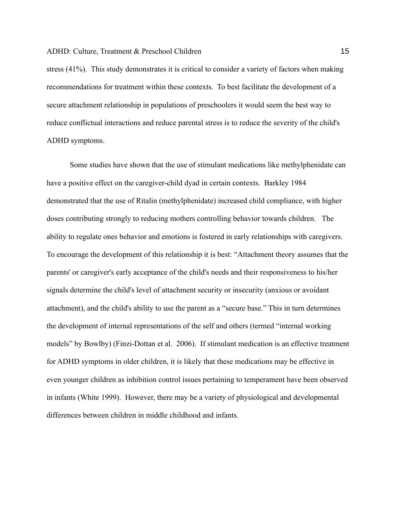stress (41%). This study demonstrates it is critical to consider a variety of factors when making recommendations for treatment within these contexts. To best facilitate the development of a secure attachment relationship in populations of preschoolers it would seem the best way to reduce conflictual interactions and reduce parental stress is to reduce the severity of the child's ADHD symptoms.

Some studies have shown that the use of stimulant medications like methylphenidate can have a positive effect on the caregiver-child dyad in certain contexts. Barkley 1984 demonstrated that the use of Ritalin (methylphenidate) increased child compliance, with higher doses contributing strongly to reducing mothers controlling behavior towards children. The ability to regulate ones behavior and emotions is fostered in early relationships with caregivers. To encourage the development of this relationship it is best: "Attachment theory assumes that the parents' or caregiver's early acceptance of the child's needs and their responsiveness to his/her signals determine the child's level of attachment security or insecurity (anxious or avoidant attachment), and the child's ability to use the parent as a "secure base." This in turn determines the development of internal representations of the self and others (termed "internal working models" by Bowlby) (Finzi-Dottan et al. 2006). If stimulant medication is an effective treatment for ADHD symptoms in older children, it is likely that these medications may be effective in even younger children as inhibition control issues pertaining to temperament have been observed in infants (White 1999). However, there may be a variety of physiological and developmental differences between children in middle childhood and infants.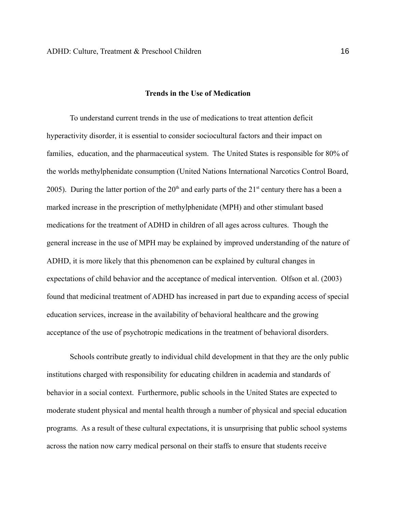### **Trends in the Use of Medication**

To understand current trends in the use of medications to treat attention deficit hyperactivity disorder, it is essential to consider sociocultural factors and their impact on families, education, and the pharmaceutical system. The United States is responsible for 80% of the worlds methylphenidate consumption (United Nations International Narcotics Control Board, 2005). During the latter portion of the  $20<sup>th</sup>$  and early parts of the  $21<sup>st</sup>$  century there has a been a marked increase in the prescription of methylphenidate (MPH) and other stimulant based medications for the treatment of ADHD in children of all ages across cultures. Though the general increase in the use of MPH may be explained by improved understanding of the nature of ADHD, it is more likely that this phenomenon can be explained by cultural changes in expectations of child behavior and the acceptance of medical intervention. Olfson et al. (2003) found that medicinal treatment of ADHD has increased in part due to expanding access of special education services, increase in the availability of behavioral healthcare and the growing acceptance of the use of psychotropic medications in the treatment of behavioral disorders.

Schools contribute greatly to individual child development in that they are the only public institutions charged with responsibility for educating children in academia and standards of behavior in a social context. Furthermore, public schools in the United States are expected to moderate student physical and mental health through a number of physical and special education programs. As a result of these cultural expectations, it is unsurprising that public school systems across the nation now carry medical personal on their staffs to ensure that students receive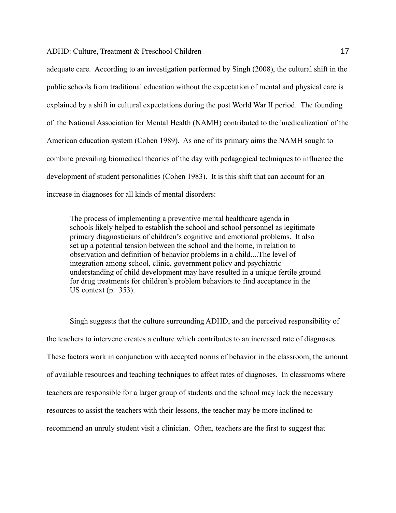adequate care. According to an investigation performed by Singh (2008), the cultural shift in the public schools from traditional education without the expectation of mental and physical care is explained by a shift in cultural expectations during the post World War II period. The founding of the National Association for Mental Health (NAMH) contributed to the 'medicalization' of the American education system (Cohen 1989). As one of its primary aims the NAMH sought to combine prevailing biomedical theories of the day with pedagogical techniques to influence the development of student personalities (Cohen 1983). It is this shift that can account for an increase in diagnoses for all kinds of mental disorders:

The process of implementing a preventive mental healthcare agenda in schools likely helped to establish the school and school personnel as legitimate primary diagnosticians of children's cognitive and emotional problems. It also set up a potential tension between the school and the home, in relation to observation and definition of behavior problems in a child....The level of integration among school, clinic, government policy and psychiatric understanding of child development may have resulted in a unique fertile ground for drug treatments for children's problem behaviors to find acceptance in the US context (p. 353).

Singh suggests that the culture surrounding ADHD, and the perceived responsibility of the teachers to intervene creates a culture which contributes to an increased rate of diagnoses. These factors work in conjunction with accepted norms of behavior in the classroom, the amount of available resources and teaching techniques to affect rates of diagnoses. In classrooms where teachers are responsible for a larger group of students and the school may lack the necessary resources to assist the teachers with their lessons, the teacher may be more inclined to recommend an unruly student visit a clinician. Often, teachers are the first to suggest that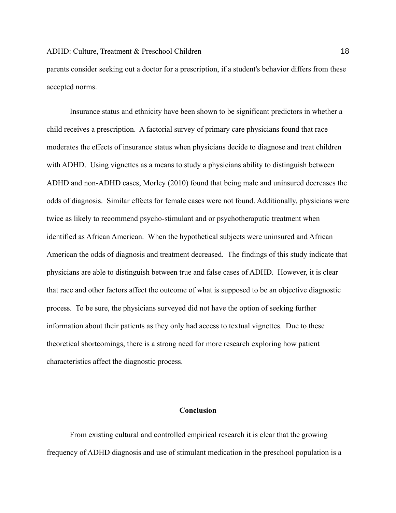parents consider seeking out a doctor for a prescription, if a student's behavior differs from these accepted norms.

Insurance status and ethnicity have been shown to be significant predictors in whether a child receives a prescription. A factorial survey of primary care physicians found that race moderates the effects of insurance status when physicians decide to diagnose and treat children with ADHD. Using vignettes as a means to study a physicians ability to distinguish between ADHD and non-ADHD cases, Morley (2010) found that being male and uninsured decreases the odds of diagnosis. Similar effects for female cases were not found. Additionally, physicians were twice as likely to recommend psycho-stimulant and or psychotheraputic treatment when identified as African American. When the hypothetical subjects were uninsured and African American the odds of diagnosis and treatment decreased. The findings of this study indicate that physicians are able to distinguish between true and false cases of ADHD. However, it is clear that race and other factors affect the outcome of what is supposed to be an objective diagnostic process. To be sure, the physicians surveyed did not have the option of seeking further information about their patients as they only had access to textual vignettes. Due to these theoretical shortcomings, there is a strong need for more research exploring how patient characteristics affect the diagnostic process.

## **Conclusion**

From existing cultural and controlled empirical research it is clear that the growing frequency of ADHD diagnosis and use of stimulant medication in the preschool population is a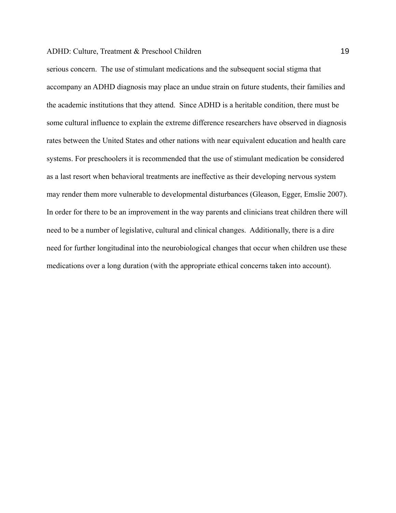serious concern. The use of stimulant medications and the subsequent social stigma that accompany an ADHD diagnosis may place an undue strain on future students, their families and the academic institutions that they attend. Since ADHD is a heritable condition, there must be some cultural influence to explain the extreme difference researchers have observed in diagnosis rates between the United States and other nations with near equivalent education and health care systems. For preschoolers it is recommended that the use of stimulant medication be considered as a last resort when behavioral treatments are ineffective as their developing nervous system may render them more vulnerable to developmental disturbances (Gleason, Egger, Emslie 2007). In order for there to be an improvement in the way parents and clinicians treat children there will need to be a number of legislative, cultural and clinical changes. Additionally, there is a dire need for further longitudinal into the neurobiological changes that occur when children use these medications over a long duration (with the appropriate ethical concerns taken into account).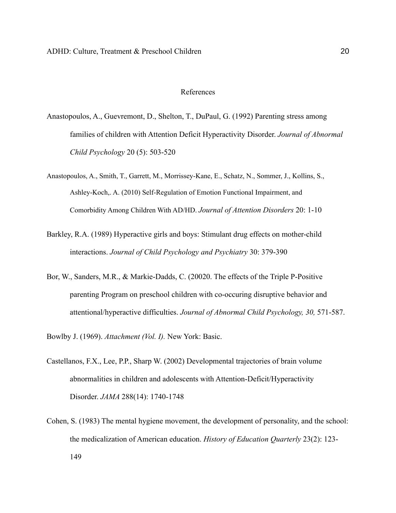#### References

- Anastopoulos, A., Guevremont, D., Shelton, T., DuPaul, G. (1992) Parenting stress among families of children with Attention Deficit Hyperactivity Disorder. *Journal of Abnormal Child Psychology* 20 (5): 503-520
- Anastopoulos, A., Smith, T., Garrett, M., Morrissey-Kane, E., Schatz, N., Sommer, J., Kollins, S., Ashley-Koch,. A. (2010) Self-Regulation of Emotion Functional Impairment, and Comorbidity Among Children With AD/HD. *Journal of Attention Disorders* 20: 1-10
- Barkley, R.A. (1989) Hyperactive girls and boys: Stimulant drug effects on mother-child interactions. *Journal of Child Psychology and Psychiatry* 30: 379-390
- Bor, W., Sanders, M.R., & Markie-Dadds, C. (20020. The effects of the Triple P-Positive parenting Program on preschool children with co-occuring disruptive behavior and attentional/hyperactive difficulties. *Journal of Abnormal Child Psychology, 30,* 571-587.
- Bowlby J. (1969). *Attachment (Vol. I).* New York: Basic.
- Castellanos, F.X., Lee, P.P., Sharp W. (2002) Developmental trajectories of brain volume abnormalities in children and adolescents with Attention-Deficit/Hyperactivity Disorder. *JAMA* 288(14): 1740-1748
- Cohen, S. (1983) The mental hygiene movement, the development of personality, and the school: the medicalization of American education. *History of Education Quarterly* 23(2): 123- 149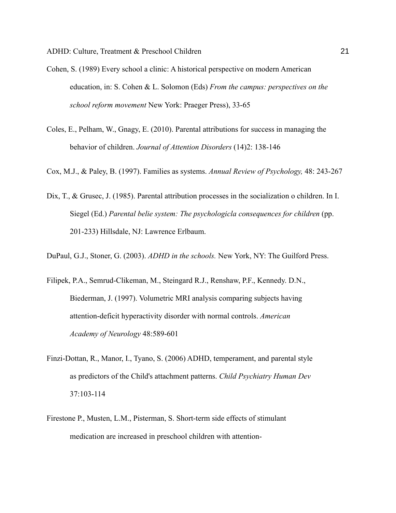- Cohen, S. (1989) Every school a clinic: A historical perspective on modern American education, in: S. Cohen & L. Solomon (Eds) *From the campus: perspectives on the school reform movement* New York: Praeger Press), 33-65
- Coles, E., Pelham, W., Gnagy, E. (2010). Parental attributions for success in managing the behavior of children. *Journal of Attention Disorders* (14)2: 138-146
- Cox, M.J., & Paley, B. (1997). Families as systems. *Annual Review of Psychology,* 48: 243-267
- Dix, T., & Grusec, J. (1985). Parental attribution processes in the socialization o children. In I. Siegel (Ed.) *Parental belie system: The psychologicla consequences for children* (pp. 201-233) Hillsdale, NJ: Lawrence Erlbaum.
- DuPaul, G.J., Stoner, G. (2003). *ADHD in the schools.* New York, NY: The Guilford Press.
- Filipek, P.A., Semrud-Clikeman, M., Steingard R.J., Renshaw, P.F., Kennedy. D.N., Biederman, J. (1997). Volumetric MRI analysis comparing subjects having attention-deficit hyperactivity disorder with normal controls. *American Academy of Neurology* 48:589-601
- Finzi-Dottan, R., Manor, I., Tyano, S. (2006) ADHD, temperament, and parental style as predictors of the Child's attachment patterns. *Child Psychiatry Human Dev* 37:103-114
- Firestone P., Musten, L.M., Pisterman, S. Short-term side effects of stimulant medication are increased in preschool children with attention-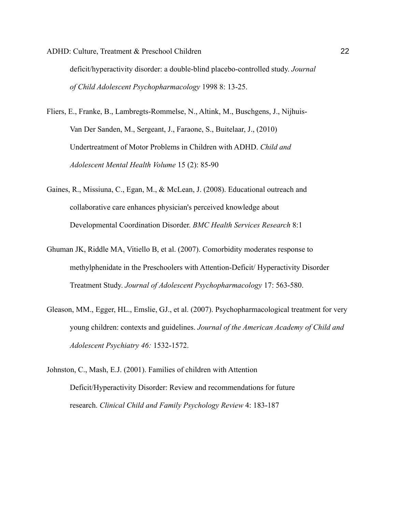ADHD: Culture, Treatment & Preschool Children 22 deficit/hyperactivity disorder: a double-blind placebo-controlled study. *Journal* 

*of Child Adolescent Psychopharmacology* 1998 8: 13-25.

- Fliers, E., Franke, B., Lambregts-Rommelse, N., Altink, M., Buschgens, J., Nijhuis-Van Der Sanden, M., Sergeant, J., Faraone, S., Buitelaar, J., (2010) Undertreatment of Motor Problems in Children with ADHD. *Child and Adolescent Mental Health Volume* 15 (2): 85-90
- Gaines, R., Missiuna, C., Egan, M., & McLean, J. (2008). Educational outreach and collaborative care enhances physician's perceived knowledge about Developmental Coordination Disorder. *BMC Health Services Research* 8:1
- Ghuman JK, Riddle MA, Vitiello B, et al. (2007). Comorbidity moderates response to methylphenidate in the Preschoolers with Attention-Deficit/ Hyperactivity Disorder Treatment Study. *Journal of Adolescent Psychopharmacology* 17: 563-580.
- Gleason, MM., Egger, HL., Emslie, GJ., et al. (2007). Psychopharmacological treatment for very young children: contexts and guidelines. *Journal of the American Academy of Child and Adolescent Psychiatry 46:* 1532-1572.
- Johnston, C., Mash, E.J. (2001). Families of children with Attention Deficit/Hyperactivity Disorder: Review and recommendations for future research. *Clinical Child and Family Psychology Review* 4: 183-187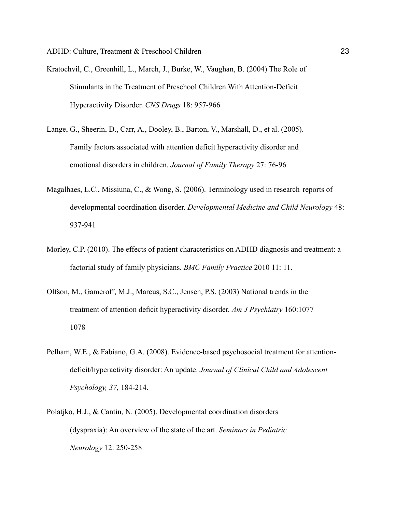- Kratochvil, C., Greenhill, L., March, J., Burke, W., Vaughan, B. (2004) The Role of Stimulants in the Treatment of Preschool Children With Attention-Deficit Hyperactivity Disorder. *CNS Drugs* 18: 957-966
- Lange, G., Sheerin, D., Carr, A., Dooley, B., Barton, V., Marshall, D., et al. (2005). Family factors associated with attention deficit hyperactivity disorder and emotional disorders in children. *Journal of Family Therapy* 27: 76-96
- Magalhaes, L.C., Missiuna, C., & Wong, S. (2006). Terminology used in research reports of developmental coordination disorder. *Developmental Medicine and Child Neurology* 48: 937-941
- Morley, C.P. (2010). The effects of patient characteristics on ADHD diagnosis and treatment: a factorial study of family physicians. *BMC Family Practice* 2010 11: 11.
- Olfson, M., Gameroff, M.J., Marcus, S.C., Jensen, P.S. (2003) National trends in the treatment of attention deficit hyperactivity disorder. *Am J Psychiatry* 160:1077– 1078
- Pelham, W.E., & Fabiano, G.A. (2008). Evidence-based psychosocial treatment for attentiondeficit/hyperactivity disorder: An update. *Journal of Clinical Child and Adolescent Psychology, 37,* 184-214.
- Polatjko, H.J., & Cantin, N. (2005). Developmental coordination disorders (dyspraxia): An overview of the state of the art. *Seminars in Pediatric Neurology* 12: 250-258